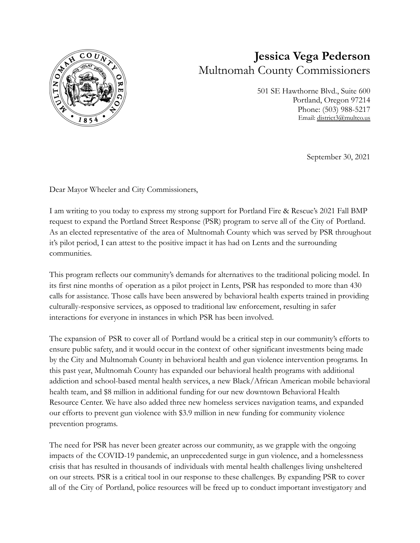

## **Jessica Vega Pederson** Multnomah County Commissioners

501 SE Hawthorne Blvd., Suite 600 Portland, Oregon 97214 Phone: (503) 988-5217 Email: [district3@multco.us](mailto:district3@multco.us)

September 30, 2021

Dear Mayor Wheeler and City Commissioners,

I am writing to you today to express my strong support for Portland Fire & Rescue's 2021 Fall BMP request to expand the Portland Street Response (PSR) program to serve all of the City of Portland. As an elected representative of the area of Multnomah County which was served by PSR throughout it's pilot period, I can attest to the positive impact it has had on Lents and the surrounding communities.

This program reflects our community's demands for alternatives to the traditional policing model. In its first nine months of operation as a pilot project in Lents, PSR has responded to more than 430 calls for assistance. Those calls have been answered by behavioral health experts trained in providing culturally-responsive services, as opposed to traditional law enforcement, resulting in safer interactions for everyone in instances in which PSR has been involved.

The expansion of PSR to cover all of Portland would be a critical step in our community's efforts to ensure public safety, and it would occur in the context of other significant investments being made by the City and Multnomah County in behavioral health and gun violence intervention programs. In this past year, Multnomah County has expanded our behavioral health programs with additional addiction and school-based mental health services, a new Black/African American mobile behavioral health team, and \$8 million in additional funding for our new downtown Behavioral Health Resource Center. We have also added three new homeless services navigation teams, and expanded our efforts to prevent gun violence with \$3.9 million in new funding for community violence prevention programs.

The need for PSR has never been greater across our community, as we grapple with the ongoing impacts of the COVID-19 pandemic, an unprecedented surge in gun violence, and a homelessness crisis that has resulted in thousands of individuals with mental health challenges living unsheltered on our streets. PSR is a critical tool in our response to these challenges. By expanding PSR to cover all of the City of Portland, police resources will be freed up to conduct important investigatory and